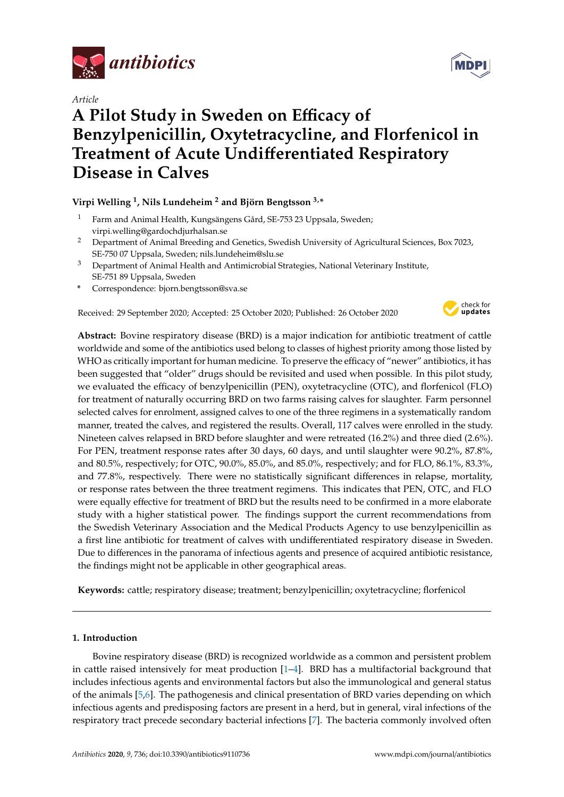

*Article*

# **A Pilot Study in Sweden on E**ffi**cacy of Benzylpenicillin, Oxytetracycline, and Florfenicol in Treatment of Acute Undi**ff**erentiated Respiratory Disease in Calves**

# **Virpi Welling <sup>1</sup> , Nils Lundeheim <sup>2</sup> and Björn Bengtsson 3,\***

- <sup>1</sup> Farm and Animal Health, Kungsängens Gård, SE-753 23 Uppsala, Sweden; virpi.welling@gardochdjurhalsan.se
- <sup>2</sup> Department of Animal Breeding and Genetics, Swedish University of Agricultural Sciences, Box 7023, SE-750 07 Uppsala, Sweden; nils.lundeheim@slu.se
- <sup>3</sup> Department of Animal Health and Antimicrobial Strategies, National Veterinary Institute, SE-751 89 Uppsala, Sweden
- **\*** Correspondence: bjorn.bengtsson@sva.se

Received: 29 September 2020; Accepted: 25 October 2020; Published: 26 October 2020



**Abstract:** Bovine respiratory disease (BRD) is a major indication for antibiotic treatment of cattle worldwide and some of the antibiotics used belong to classes of highest priority among those listed by WHO as critically important for human medicine. To preserve the efficacy of "newer" antibiotics, it has been suggested that "older" drugs should be revisited and used when possible. In this pilot study, we evaluated the efficacy of benzylpenicillin (PEN), oxytetracycline (OTC), and florfenicol (FLO) for treatment of naturally occurring BRD on two farms raising calves for slaughter. Farm personnel selected calves for enrolment, assigned calves to one of the three regimens in a systematically random manner, treated the calves, and registered the results. Overall, 117 calves were enrolled in the study. Nineteen calves relapsed in BRD before slaughter and were retreated (16.2%) and three died (2.6%). For PEN, treatment response rates after 30 days, 60 days, and until slaughter were 90.2%, 87.8%, and 80.5%, respectively; for OTC, 90.0%, 85.0%, and 85.0%, respectively; and for FLO, 86.1%, 83.3%, and 77.8%, respectively. There were no statistically significant differences in relapse, mortality, or response rates between the three treatment regimens. This indicates that PEN, OTC, and FLO were equally effective for treatment of BRD but the results need to be confirmed in a more elaborate study with a higher statistical power. The findings support the current recommendations from the Swedish Veterinary Association and the Medical Products Agency to use benzylpenicillin as a first line antibiotic for treatment of calves with undifferentiated respiratory disease in Sweden. Due to differences in the panorama of infectious agents and presence of acquired antibiotic resistance, the findings might not be applicable in other geographical areas.

**Keywords:** cattle; respiratory disease; treatment; benzylpenicillin; oxytetracycline; florfenicol

# **1. Introduction**

Bovine respiratory disease (BRD) is recognized worldwide as a common and persistent problem in cattle raised intensively for meat production [\[1](#page-9-0)[–4\]](#page-9-1). BRD has a multifactorial background that includes infectious agents and environmental factors but also the immunological and general status of the animals [\[5](#page-9-2)[,6\]](#page-9-3). The pathogenesis and clinical presentation of BRD varies depending on which infectious agents and predisposing factors are present in a herd, but in general, viral infections of the respiratory tract precede secondary bacterial infections [\[7\]](#page-9-4). The bacteria commonly involved often

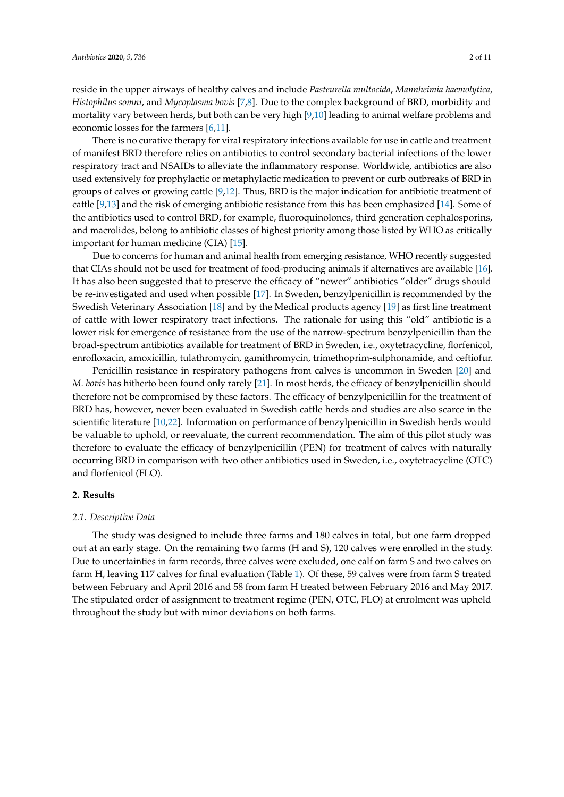reside in the upper airways of healthy calves and include *Pasteurella multocida*, *Mannheimia haemolytica*, *Histophilus somni*, and *Mycoplasma bovis* [\[7,](#page-9-4)[8\]](#page-9-5). Due to the complex background of BRD, morbidity and mortality vary between herds, but both can be very high [\[9,](#page-9-6)[10\]](#page-9-7) leading to animal welfare problems and economic losses for the farmers [\[6,](#page-9-3)[11\]](#page-9-8).

There is no curative therapy for viral respiratory infections available for use in cattle and treatment of manifest BRD therefore relies on antibiotics to control secondary bacterial infections of the lower respiratory tract and NSAIDs to alleviate the inflammatory response. Worldwide, antibiotics are also used extensively for prophylactic or metaphylactic medication to prevent or curb outbreaks of BRD in groups of calves or growing cattle [\[9](#page-9-6)[,12\]](#page-9-9). Thus, BRD is the major indication for antibiotic treatment of cattle [\[9](#page-9-6)[,13\]](#page-9-10) and the risk of emerging antibiotic resistance from this has been emphasized [\[14\]](#page-9-11). Some of the antibiotics used to control BRD, for example, fluoroquinolones, third generation cephalosporins, and macrolides, belong to antibiotic classes of highest priority among those listed by WHO as critically important for human medicine (CIA) [\[15\]](#page-9-12).

Due to concerns for human and animal health from emerging resistance, WHO recently suggested that CIAs should not be used for treatment of food-producing animals if alternatives are available [\[16\]](#page-9-13). It has also been suggested that to preserve the efficacy of "newer" antibiotics "older" drugs should be re-investigated and used when possible [\[17\]](#page-9-14). In Sweden, benzylpenicillin is recommended by the Swedish Veterinary Association [\[18\]](#page-10-0) and by the Medical products agency [\[19\]](#page-10-1) as first line treatment of cattle with lower respiratory tract infections. The rationale for using this "old" antibiotic is a lower risk for emergence of resistance from the use of the narrow-spectrum benzylpenicillin than the broad-spectrum antibiotics available for treatment of BRD in Sweden, i.e., oxytetracycline, florfenicol, enrofloxacin, amoxicillin, tulathromycin, gamithromycin, trimethoprim-sulphonamide, and ceftiofur.

Penicillin resistance in respiratory pathogens from calves is uncommon in Sweden [\[20\]](#page-10-2) and *M. bovis* has hitherto been found only rarely [\[21\]](#page-10-3). In most herds, the efficacy of benzylpenicillin should therefore not be compromised by these factors. The efficacy of benzylpenicillin for the treatment of BRD has, however, never been evaluated in Swedish cattle herds and studies are also scarce in the scientific literature [\[10](#page-9-7)[,22\]](#page-10-4). Information on performance of benzylpenicillin in Swedish herds would be valuable to uphold, or reevaluate, the current recommendation. The aim of this pilot study was therefore to evaluate the efficacy of benzylpenicillin (PEN) for treatment of calves with naturally occurring BRD in comparison with two other antibiotics used in Sweden, i.e., oxytetracycline (OTC) and florfenicol (FLO).

#### **2. Results**

#### *2.1. Descriptive Data*

The study was designed to include three farms and 180 calves in total, but one farm dropped out at an early stage. On the remaining two farms (H and S), 120 calves were enrolled in the study. Due to uncertainties in farm records, three calves were excluded, one calf on farm S and two calves on farm H, leaving 117 calves for final evaluation (Table [1\)](#page-2-0). Of these, 59 calves were from farm S treated between February and April 2016 and 58 from farm H treated between February 2016 and May 2017. The stipulated order of assignment to treatment regime (PEN, OTC, FLO) at enrolment was upheld throughout the study but with minor deviations on both farms.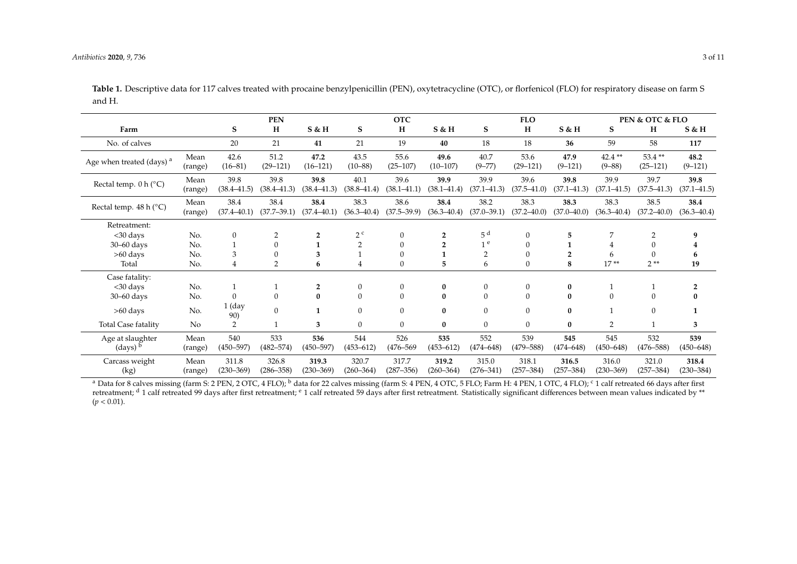<span id="page-2-0"></span>Carcass weight (kg)

Mean (range)

311.8 (230–369)

326.8 (286–358)

|                                                        |                 | <b>PEN</b>              |                         |                         | <b>OTC</b>              |                         |                         | <b>FLO</b>              |                         |                         | PEN & OTC & FLO         |                         |                         |
|--------------------------------------------------------|-----------------|-------------------------|-------------------------|-------------------------|-------------------------|-------------------------|-------------------------|-------------------------|-------------------------|-------------------------|-------------------------|-------------------------|-------------------------|
| Farm                                                   |                 | S                       | н                       | $S$ & H                 | S                       | H                       | $S$ & H                 | S                       | $H_{\rm}$               | S & H                   | S                       | H                       | S & H                   |
| No. of calves                                          |                 | 20                      | 21                      | 41                      | 21                      | 19                      | 40                      | 18                      | 18                      | 36                      | 59                      | 58                      | 117                     |
| Age when treated (days) <sup>a</sup>                   | Mean<br>(range) | 42.6<br>$(16-81)$       | 51.2<br>$(29-121)$      | 47.2<br>$(16-121)$      | 43.5<br>$(10 - 88)$     | 55.6<br>$(25-107)$      | 49.6<br>$(10-107)$      | 40.7<br>$(9 - 77)$      | 53.6<br>$(29-121)$      | 47.9<br>$(9 - 121)$     | $42.4**$<br>$(9 - 88)$  | $53.4**$<br>$(25-121)$  | 48.2<br>$(9-121)$       |
| Rectal temp. $0 h (^{\circ}C)$                         | Mean<br>(range) | 39.8<br>$(38.4 - 41.5)$ | 39.8<br>$(38.4 - 41.3)$ | 39.8<br>$(38.4 - 41.3)$ | 40.1<br>$(38.8 - 41.4)$ | 39.6<br>$(38.1 - 41.1)$ | 39.9<br>$(38.1 - 41.4)$ | 39.9<br>$(37.1 - 41.3)$ | 39.6<br>$(37.5 - 41.0)$ | 39.8<br>$(37.1 - 41.3)$ | 39.9<br>$(37.1 - 41.5)$ | 39.7<br>$(37.5 - 41.3)$ | 39.8<br>$(37.1 - 41.5)$ |
| Rectal temp. 48 h (°C)                                 | Mean<br>(range) | 38.4<br>$(37.4 - 40.1)$ | 38.4<br>$(37.7 - 39.1)$ | 38.4<br>$(37.4 - 40.1)$ | 38.3<br>$(36.3 - 40.4)$ | 38.6<br>$(37.5 - 39.9)$ | 38.4<br>$(36.3 - 40.4)$ | 38.2<br>$(37.0 - 39.1)$ | 38.3<br>$(37.2 - 40.0)$ | 38.3<br>$(37.0 - 40.0)$ | 38.3<br>$(36.3 - 40.4)$ | 38.5<br>$(37.2 - 40.0)$ | 38.4<br>$(36.3 - 40.4)$ |
| Retreatment:                                           |                 |                         |                         |                         |                         |                         |                         |                         |                         |                         |                         |                         |                         |
| $<$ 30 days                                            | No.             | $\mathbf{0}$            | $\overline{2}$          | $\overline{2}$          | 2 <sup>c</sup>          | $\mathbf{0}$            | $\overline{2}$          | 5 <sup>d</sup>          | $\Omega$                | 5                       | 7                       | $\overline{2}$          |                         |
| $30 - 60$ days                                         | No.             |                         | $\mathbf{0}$            |                         |                         | $\Omega$                | $\overline{2}$          | 1 <sup>e</sup>          | $\Omega$                |                         |                         |                         |                         |
| $>60$ days                                             | No.             | 3                       | $\Omega$                | 3                       |                         |                         |                         | $\overline{2}$          | $\Omega$                | $\overline{2}$          | 6                       | $\theta$                |                         |
| Total                                                  | No.             | 4                       | $\overline{2}$          | 6                       | 4                       | 0                       | 5                       | 6                       | $\mathbf{0}$            | 8                       | $17**$                  | $2**$                   | 19                      |
| Case fatality:                                         |                 |                         |                         |                         |                         |                         |                         |                         |                         |                         |                         |                         |                         |
| $<$ 30 days                                            | No.             |                         |                         | $\overline{2}$          | 0                       | $\mathbf{0}$            | $\bf{0}$                | $\mathbf{0}$            | $\mathbf{0}$            | $\bf{0}$                |                         |                         |                         |
| $30 - 60$ days                                         | No.             | $\theta$                | $\overline{0}$          | $\bf{0}$                | $\overline{0}$          | $\mathbf{0}$            | $\bf{0}$                | $\mathbf{0}$            | $\mathbf{0}$            | $\bf{0}$                | 0                       | $\mathbf{0}$            | 0                       |
| $>60$ days                                             | No.             | $1$ (day<br>90)         | $\mathbf{0}$            | 1                       | $\Omega$                | $\Omega$                | 0                       | $\Omega$                | $\Omega$                | $\mathbf{0}$            |                         | $\overline{0}$          | 1                       |
| Total Case fatality                                    | No              | 2                       |                         | 3                       | $\Omega$                | $\overline{0}$          | $\mathbf{0}$            | $\overline{0}$          | $\mathbf{0}$            | $\bf{0}$                | 2                       |                         | 3                       |
| Age at slaughter<br>$\frac{1}{2}$ (days) $\frac{b}{2}$ | Mean<br>(range) | 540<br>$(450 - 597)$    | 533<br>$(482 - 574)$    | 536<br>$(450 - 597)$    | 544<br>$(453 - 612)$    | 526<br>$(476 - 569)$    | 535<br>$(453 - 612)$    | 552<br>$(474 - 648)$    | 539<br>$(479 - 588)$    | 545<br>$(474 - 648)$    | 545<br>$(450 - 648)$    | 532<br>$(476 - 588)$    | 539<br>$(450 - 648)$    |

Table 1. Descriptive data for 117 calves treated with procaine benzylpenicillin (PEN), oxytetracycline (OTC), or florfenicol (FLO) for respiratory disease on farm S and H.

<sup>a</sup> Data for 8 calves missing (farm S: 2 PEN, 2 OTC, 4 FLO); <sup>b</sup> data for 22 calves missing (farm S: 4 PEN, 4 OTC, 5 FLO; Farm H: 4 PEN, 1 OTC, 4 FLO); <sup>c</sup> 1 calf retreated 66 days after first retreatment;  $d$  1 calf retreated 99 days after first retreatment;  $e$  1 calf retreated 59 days after first retreatment. Statistically significant differences between mean values indicated by \*\*  $(p < 0.01)$ .

317.7 (287–356)

**319.2** (260–364) 315.0

(276–341) (257–384) (257–384) (230–369)

**316.5**

316.0

321.0 (257–384)

**318.4** (230–384)

318.1

**319.3** (230–369)

320.7 (260–364)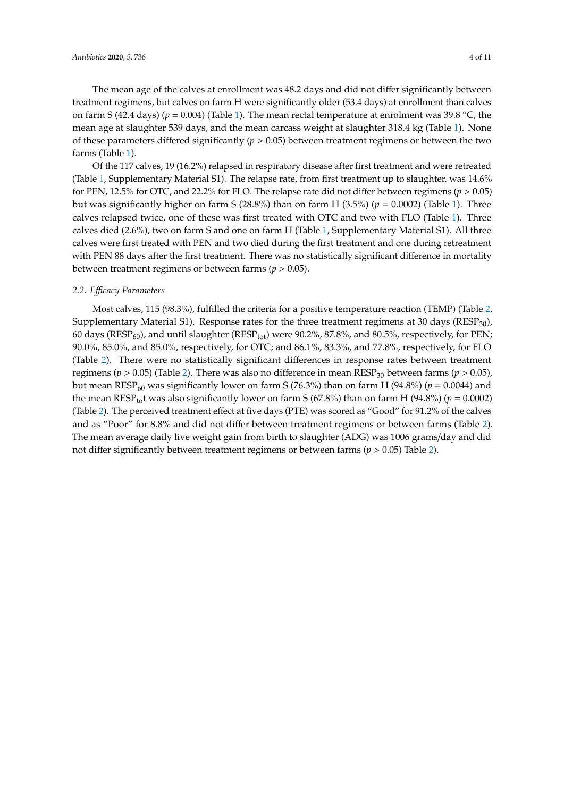The mean age of the calves at enrollment was 48.2 days and did not differ significantly between treatment regimens, but calves on farm H were significantly older (53.4 days) at enrollment than calves on farm S (42.4 days) (*p* = 0.004) (Table [1\)](#page-2-0). The mean rectal temperature at enrolment was 39.8 ◦C, the mean age at slaughter 539 days, and the mean carcass weight at slaughter 318.4 kg (Table [1\)](#page-2-0). None of these parameters differed significantly (*p* > 0.05) between treatment regimens or between the two farms (Table [1\)](#page-2-0).

Of the 117 calves, 19 (16.2%) relapsed in respiratory disease after first treatment and were retreated (Table [1,](#page-2-0) Supplementary Material S1). The relapse rate, from first treatment up to slaughter, was 14.6% for PEN, 12.5% for OTC, and 22.2% for FLO. The relapse rate did not differ between regimens (*p* > 0.05) but was significantly higher on farm S (28.8%) than on farm H (3.5%) ( $p = 0.0002$ ) (Table [1\)](#page-2-0). Three calves relapsed twice, one of these was first treated with OTC and two with FLO (Table [1\)](#page-2-0). Three calves died (2.6%), two on farm S and one on farm H (Table [1,](#page-2-0) Supplementary Material S1). All three calves were first treated with PEN and two died during the first treatment and one during retreatment with PEN 88 days after the first treatment. There was no statistically significant difference in mortality between treatment regimens or between farms ( $p > 0.05$ ).

#### *2.2. E*ffi*cacy Parameters*

Most calves, 115 (98.3%), fulfilled the criteria for a positive temperature reaction (TEMP) (Table [2,](#page-4-0) Supplementary Material S1). Response rates for the three treatment regimens at 30 days ( $RESP<sub>30</sub>$ ), 60 days ( $RESP_{60}$ ), and until slaughter ( $RESP_{tot}$ ) were 90.2%, 87.8%, and 80.5%, respectively, for PEN; 90.0%, 85.0%, and 85.0%, respectively, for OTC; and 86.1%, 83.3%, and 77.8%, respectively, for FLO (Table [2\)](#page-4-0). There were no statistically significant differences in response rates between treatment regimens ( $p > 0.05$ ) (Table [2\)](#page-4-0). There was also no difference in mean RESP<sub>30</sub> between farms ( $p > 0.05$ ), but mean RESP<sub>60</sub> was significantly lower on farm S (76.3%) than on farm H (94.8%) ( $p = 0.0044$ ) and the mean RESP<sub>to</sub>t was also significantly lower on farm S (67.8%) than on farm H (94.8%) ( $p = 0.0002$ ) (Table [2\)](#page-4-0). The perceived treatment effect at five days (PTE) was scored as "Good" for 91.2% of the calves and as "Poor" for 8.8% and did not differ between treatment regimens or between farms (Table [2\)](#page-4-0). The mean average daily live weight gain from birth to slaughter (ADG) was 1006 grams/day and did not differ significantly between treatment regimens or between farms (*p* > 0.05) Table [2\)](#page-4-0).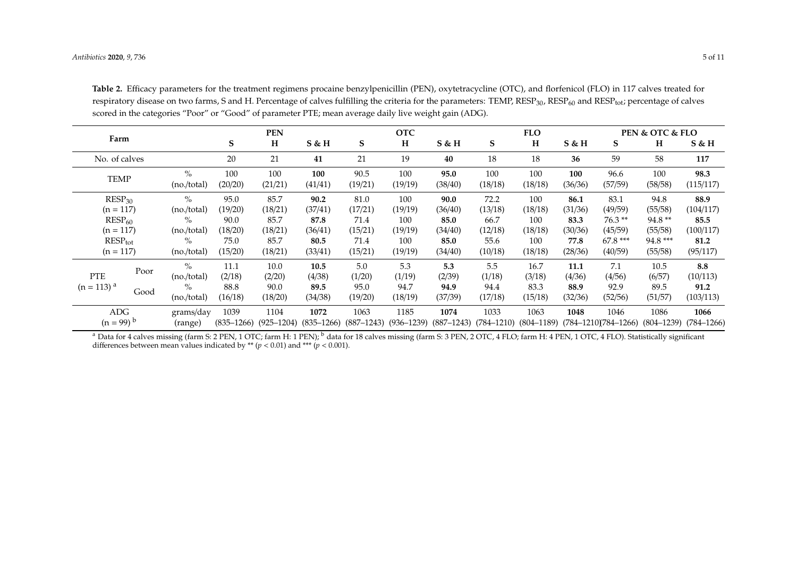| Farm                                   |      |                              | <b>PEN</b>             |                        |                        | <b>OTC</b>             |                        |                        | <b>FLO</b>             |                        |                 | <b>PEN &amp; OTC &amp; FLO</b>     |                        |                        |
|----------------------------------------|------|------------------------------|------------------------|------------------------|------------------------|------------------------|------------------------|------------------------|------------------------|------------------------|-----------------|------------------------------------|------------------------|------------------------|
|                                        |      |                              | S                      | H                      | $S$ & H                | S                      | H                      | $S$ & H                | S                      | H                      | $S$ & H         | S                                  | H                      | $S$ & H                |
| No. of calves                          |      |                              | 20                     | 21                     | 41                     | 21                     | 19                     | 40                     | 18                     | 18                     | 36              | 59                                 | 58                     | 117                    |
| <b>TEMP</b>                            |      | $\frac{O}{O}$<br>(no./total) | 100<br>(20/20)         | 100<br>(21/21)         | 100<br>(41/41)         | 90.5<br>(19/21)        | 100<br>(19/19)         | 95.0<br>(38/40)        | 100<br>(18/18)         | 100<br>(18/18)         | 100<br>(36/36)  | 96.6<br>(57/59)                    | 100<br>(58/58)         | 98.3<br>(115/117)      |
| RESP <sub>30</sub><br>$(n = 117)$      |      | $\%$<br>(no./total)          | 95.0<br>(19/20)        | 85.7<br>(18/21)        | 90.2<br>(37/41)        | 81.0<br>(17/21)        | 100<br>(19/19)         | 90.0<br>(36/40)        | 72.2<br>(13/18)        | 100<br>(18/18)         | 86.1<br>(31/36) | 83.1<br>(49/59)                    | 94.8<br>(55/58)        | 88.9<br>(104/117)      |
| $RESP_{60}$                            |      | $\%$                         | 90.0                   | 85.7                   | 87.8                   | 71.4                   | 100                    | 85.0                   | 66.7                   | 100                    | 83.3            | $76.3**$                           | 94.8**                 | 85.5                   |
| $(n = 117)$<br>$RESP_{tot}$            |      | (no./total)<br>$\%$          | (18/20)<br>75.0        | (18/21)<br>85.7        | (36/41)<br>80.5        | (15/21)<br>71.4        | (19/19)<br>100         | (34/40)<br>85.0        | (12/18)<br>55.6        | (18/18)<br>100         | (30/36)<br>77.8 | (45/59)<br>67.8 ***                | (55/58)<br>94.8 ***    | (100/117)<br>81.2      |
| $(n = 117)$                            |      | (no./total)                  | (15/20)                | (18/21)                | (33/41)                | (15/21)                | (19/19)                | (34/40)                | (10/18)                | (18/18)                | (28/36)         | (40/59)                            | (55/58)                | (95/117)               |
| <b>PTE</b><br>$(n = 113)$ <sup>a</sup> | Poor | $\frac{O}{O}$<br>(no./total) | 11.1<br>(2/18)         | 10.0<br>(2/20)         | 10.5<br>(4/38)         | 5.0<br>(1/20)          | 5.3<br>(1/19)          | 5.3<br>(2/39)          | 5.5<br>(1/18)          | 16.7<br>(3/18)         | 11.1<br>(4/36)  | 7.1<br>(4/56)                      | 10.5<br>(6/57)         | 8.8<br>(10/113)        |
|                                        | Good | $\%$<br>(no./total)          | 88.8<br>(16/18)        | 90.0<br>(18/20)        | 89.5<br>(34/38)        | 95.0<br>(19/20)        | 94.7<br>(18/19)        | 94.9<br>(37/39)        | 94.4<br>(17/18)        | 83.3<br>(15/18)        | 88.9<br>(32/36) | 92.9<br>(52/56)                    | 89.5<br>(51/57)        | 91.2<br>(103/113)      |
| ADC<br>$(n = 99)^{b}$                  |      | grams/day<br>(range)         | 1039<br>$(835 - 1266)$ | 1104<br>$(925 - 1204)$ | 1072<br>$(835 - 1266)$ | 1063<br>$(887 - 1243)$ | 1185<br>$(936 - 1239)$ | 1074<br>$(887 - 1243)$ | 1033<br>$(784 - 1210)$ | 1063<br>$(804 - 1189)$ | 1048            | 1046<br>$(784 - 1210)(784 - 1266)$ | 1086<br>$(804 - 1239)$ | 1066<br>$(784 - 1266)$ |

**Table 2.** Efficacy parameters for the treatment regimens procaine benzylpenicillin (PEN), oxytetracycline (OTC), and florfenicol (FLO) in 117 calves treated for respiratory disease on two farms, S and H. Percentage of calves fulfilling the criteria for the parameters: TEMP, RESP<sub>30</sub>, RESP<sub>60</sub> and RESP<sub>tot</sub>; percentage of calves scored in the categories "Poor" or "Good" of parameter PTE; mean average daily live weight gain (ADG).

<span id="page-4-0"></span><sup>a</sup> Data for 4 calves missing (farm S: 2 PEN, 1 OTC; farm H: 1 PEN); <sup>b</sup> data for 18 calves missing (farm S: 3 PEN, 2 OTC, 4 FLO; farm H: 4 PEN, 1 OTC, 4 FLO). Statistically significant differences between mean values indicated by \*\*  $(p < 0.01)$  and \*\*\*  $(p < 0.001)$ .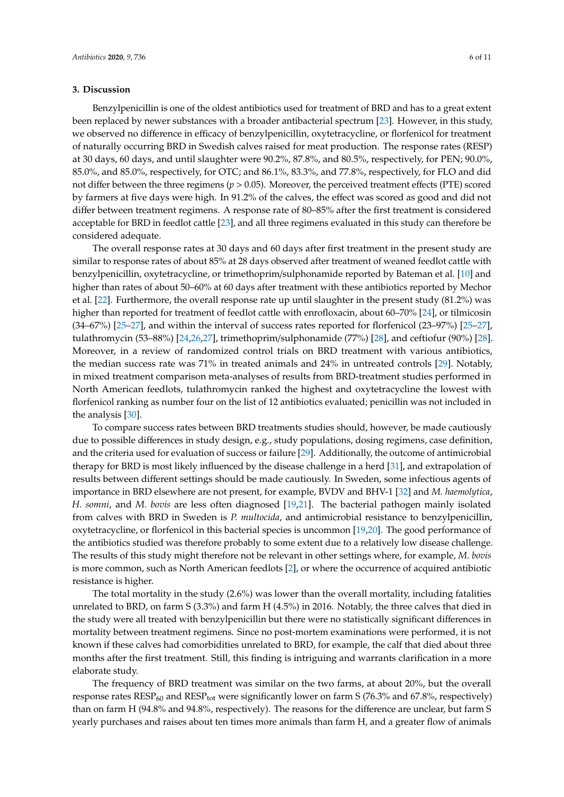### **3. Discussion**

Benzylpenicillin is one of the oldest antibiotics used for treatment of BRD and has to a great extent been replaced by newer substances with a broader antibacterial spectrum [\[23\]](#page-10-5). However, in this study, we observed no difference in efficacy of benzylpenicillin, oxytetracycline, or florfenicol for treatment of naturally occurring BRD in Swedish calves raised for meat production. The response rates (RESP) at 30 days, 60 days, and until slaughter were 90.2%, 87.8%, and 80.5%, respectively, for PEN; 90.0%, 85.0%, and 85.0%, respectively, for OTC; and 86.1%, 83.3%, and 77.8%, respectively, for FLO and did not differ between the three regimens (*p* > 0.05). Moreover, the perceived treatment effects (PTE) scored by farmers at five days were high. In 91.2% of the calves, the effect was scored as good and did not differ between treatment regimens. A response rate of 80–85% after the first treatment is considered acceptable for BRD in feedlot cattle [\[23\]](#page-10-5), and all three regimens evaluated in this study can therefore be considered adequate.

The overall response rates at 30 days and 60 days after first treatment in the present study are similar to response rates of about 85% at 28 days observed after treatment of weaned feedlot cattle with benzylpenicillin, oxytetracycline, or trimethoprim/sulphonamide reported by Bateman et al. [\[10\]](#page-9-7) and higher than rates of about 50–60% at 60 days after treatment with these antibiotics reported by Mechor et al. [\[22\]](#page-10-4). Furthermore, the overall response rate up until slaughter in the present study (81.2%) was higher than reported for treatment of feedlot cattle with enrofloxacin, about 60–70% [\[24\]](#page-10-6), or tilmicosin (34–67%) [\[25](#page-10-7)[–27\]](#page-10-8), and within the interval of success rates reported for florfenicol (23–97%) [\[25](#page-10-7)[–27\]](#page-10-8), tulathromycin (53–88%) [\[24](#page-10-6)[,26](#page-10-9)[,27\]](#page-10-8), trimethoprim/sulphonamide (77%) [\[28\]](#page-10-10), and ceftiofur (90%) [\[28\]](#page-10-10). Moreover, in a review of randomized control trials on BRD treatment with various antibiotics, the median success rate was 71% in treated animals and 24% in untreated controls [\[29\]](#page-10-11). Notably, in mixed treatment comparison meta-analyses of results from BRD-treatment studies performed in North American feedlots, tulathromycin ranked the highest and oxytetracycline the lowest with florfenicol ranking as number four on the list of 12 antibiotics evaluated; penicillin was not included in the analysis [\[30\]](#page-10-12).

To compare success rates between BRD treatments studies should, however, be made cautiously due to possible differences in study design, e.g., study populations, dosing regimens, case definition, and the criteria used for evaluation of success or failure [\[29\]](#page-10-11). Additionally, the outcome of antimicrobial therapy for BRD is most likely influenced by the disease challenge in a herd [\[31\]](#page-10-13), and extrapolation of results between different settings should be made cautiously. In Sweden, some infectious agents of importance in BRD elsewhere are not present, for example, BVDV and BHV-1 [\[32\]](#page-10-14) and *M. haemolytica*, *H. somni*, and *M. bovis* are less often diagnosed [\[19](#page-10-1)[,21\]](#page-10-3). The bacterial pathogen mainly isolated from calves with BRD in Sweden is *P. multocida*, and antimicrobial resistance to benzylpenicillin, oxytetracycline, or florfenicol in this bacterial species is uncommon [\[19](#page-10-1)[,20\]](#page-10-2). The good performance of the antibiotics studied was therefore probably to some extent due to a relatively low disease challenge. The results of this study might therefore not be relevant in other settings where, for example, *M. bovis* is more common, such as North American feedlots [\[2\]](#page-9-15), or where the occurrence of acquired antibiotic resistance is higher.

The total mortality in the study (2.6%) was lower than the overall mortality, including fatalities unrelated to BRD, on farm S (3.3%) and farm H (4.5%) in 2016. Notably, the three calves that died in the study were all treated with benzylpenicillin but there were no statistically significant differences in mortality between treatment regimens. Since no post-mortem examinations were performed, it is not known if these calves had comorbidities unrelated to BRD, for example, the calf that died about three months after the first treatment. Still, this finding is intriguing and warrants clarification in a more elaborate study.

The frequency of BRD treatment was similar on the two farms, at about 20%, but the overall response rates  $RESP_{60}$  and  $RESP_{tot}$  were significantly lower on farm S (76.3% and 67.8%, respectively) than on farm H (94.8% and 94.8%, respectively). The reasons for the difference are unclear, but farm S yearly purchases and raises about ten times more animals than farm H, and a greater flow of animals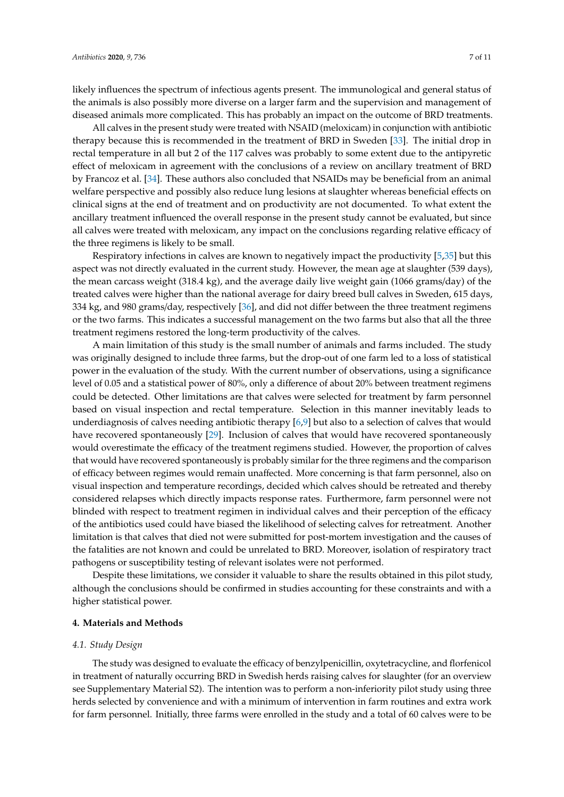likely influences the spectrum of infectious agents present. The immunological and general status of the animals is also possibly more diverse on a larger farm and the supervision and management of diseased animals more complicated. This has probably an impact on the outcome of BRD treatments.

All calves in the present study were treated with NSAID (meloxicam) in conjunction with antibiotic therapy because this is recommended in the treatment of BRD in Sweden [\[33\]](#page-10-15). The initial drop in rectal temperature in all but 2 of the 117 calves was probably to some extent due to the antipyretic effect of meloxicam in agreement with the conclusions of a review on ancillary treatment of BRD by Francoz et al. [\[34\]](#page-10-16). These authors also concluded that NSAIDs may be beneficial from an animal welfare perspective and possibly also reduce lung lesions at slaughter whereas beneficial effects on clinical signs at the end of treatment and on productivity are not documented. To what extent the ancillary treatment influenced the overall response in the present study cannot be evaluated, but since all calves were treated with meloxicam, any impact on the conclusions regarding relative efficacy of the three regimens is likely to be small.

Respiratory infections in calves are known to negatively impact the productivity [\[5,](#page-9-2)[35\]](#page-10-17) but this aspect was not directly evaluated in the current study. However, the mean age at slaughter (539 days), the mean carcass weight (318.4 kg), and the average daily live weight gain (1066 grams/day) of the treated calves were higher than the national average for dairy breed bull calves in Sweden, 615 days, 334 kg, and 980 grams/day, respectively [\[36\]](#page-10-18), and did not differ between the three treatment regimens or the two farms. This indicates a successful management on the two farms but also that all the three treatment regimens restored the long-term productivity of the calves.

A main limitation of this study is the small number of animals and farms included. The study was originally designed to include three farms, but the drop-out of one farm led to a loss of statistical power in the evaluation of the study. With the current number of observations, using a significance level of 0.05 and a statistical power of 80%, only a difference of about 20% between treatment regimens could be detected. Other limitations are that calves were selected for treatment by farm personnel based on visual inspection and rectal temperature. Selection in this manner inevitably leads to underdiagnosis of calves needing antibiotic therapy [\[6,](#page-9-3)[9\]](#page-9-6) but also to a selection of calves that would have recovered spontaneously [\[29\]](#page-10-11). Inclusion of calves that would have recovered spontaneously would overestimate the efficacy of the treatment regimens studied. However, the proportion of calves that would have recovered spontaneously is probably similar for the three regimens and the comparison of efficacy between regimes would remain unaffected. More concerning is that farm personnel, also on visual inspection and temperature recordings, decided which calves should be retreated and thereby considered relapses which directly impacts response rates. Furthermore, farm personnel were not blinded with respect to treatment regimen in individual calves and their perception of the efficacy of the antibiotics used could have biased the likelihood of selecting calves for retreatment. Another limitation is that calves that died not were submitted for post-mortem investigation and the causes of the fatalities are not known and could be unrelated to BRD. Moreover, isolation of respiratory tract pathogens or susceptibility testing of relevant isolates were not performed.

Despite these limitations, we consider it valuable to share the results obtained in this pilot study, although the conclusions should be confirmed in studies accounting for these constraints and with a higher statistical power.

#### **4. Materials and Methods**

#### *4.1. Study Design*

The study was designed to evaluate the efficacy of benzylpenicillin, oxytetracycline, and florfenicol in treatment of naturally occurring BRD in Swedish herds raising calves for slaughter (for an overview see Supplementary Material S2). The intention was to perform a non-inferiority pilot study using three herds selected by convenience and with a minimum of intervention in farm routines and extra work for farm personnel. Initially, three farms were enrolled in the study and a total of 60 calves were to be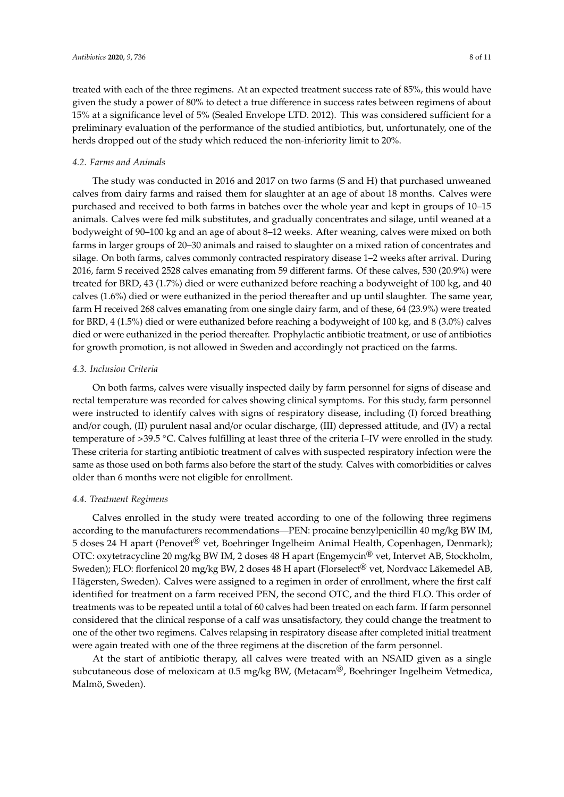treated with each of the three regimens. At an expected treatment success rate of 85%, this would have given the study a power of 80% to detect a true difference in success rates between regimens of about 15% at a significance level of 5% (Sealed Envelope LTD. 2012). This was considered sufficient for a preliminary evaluation of the performance of the studied antibiotics, but, unfortunately, one of the herds dropped out of the study which reduced the non-inferiority limit to 20%.

#### *4.2. Farms and Animals*

The study was conducted in 2016 and 2017 on two farms (S and H) that purchased unweaned calves from dairy farms and raised them for slaughter at an age of about 18 months. Calves were purchased and received to both farms in batches over the whole year and kept in groups of 10–15 animals. Calves were fed milk substitutes, and gradually concentrates and silage, until weaned at a bodyweight of 90–100 kg and an age of about 8–12 weeks. After weaning, calves were mixed on both farms in larger groups of 20–30 animals and raised to slaughter on a mixed ration of concentrates and silage. On both farms, calves commonly contracted respiratory disease 1–2 weeks after arrival. During 2016, farm S received 2528 calves emanating from 59 different farms. Of these calves, 530 (20.9%) were treated for BRD, 43 (1.7%) died or were euthanized before reaching a bodyweight of 100 kg, and 40 calves (1.6%) died or were euthanized in the period thereafter and up until slaughter. The same year, farm H received 268 calves emanating from one single dairy farm, and of these, 64 (23.9%) were treated for BRD, 4 (1.5%) died or were euthanized before reaching a bodyweight of 100 kg, and 8 (3.0%) calves died or were euthanized in the period thereafter. Prophylactic antibiotic treatment, or use of antibiotics for growth promotion, is not allowed in Sweden and accordingly not practiced on the farms.

#### *4.3. Inclusion Criteria*

On both farms, calves were visually inspected daily by farm personnel for signs of disease and rectal temperature was recorded for calves showing clinical symptoms. For this study, farm personnel were instructed to identify calves with signs of respiratory disease, including (I) forced breathing and/or cough, (II) purulent nasal and/or ocular discharge, (III) depressed attitude, and (IV) a rectal temperature of >39.5 ◦C. Calves fulfilling at least three of the criteria I–IV were enrolled in the study. These criteria for starting antibiotic treatment of calves with suspected respiratory infection were the same as those used on both farms also before the start of the study. Calves with comorbidities or calves older than 6 months were not eligible for enrollment.

#### *4.4. Treatment Regimens*

Calves enrolled in the study were treated according to one of the following three regimens according to the manufacturers recommendations—PEN: procaine benzylpenicillin 40 mg/kg BW IM, 5 doses 24 H apart (Penovet® vet, Boehringer Ingelheim Animal Health, Copenhagen, Denmark); OTC: oxytetracycline 20 mg/kg BW IM, 2 doses 48 H apart (Engemycin® vet, Intervet AB, Stockholm, Sweden); FLO: florfenicol 20 mg/kg BW, 2 doses 48 H apart (Florselect® vet, Nordvacc Läkemedel AB, Hägersten, Sweden). Calves were assigned to a regimen in order of enrollment, where the first calf identified for treatment on a farm received PEN, the second OTC, and the third FLO. This order of treatments was to be repeated until a total of 60 calves had been treated on each farm. If farm personnel considered that the clinical response of a calf was unsatisfactory, they could change the treatment to one of the other two regimens. Calves relapsing in respiratory disease after completed initial treatment were again treated with one of the three regimens at the discretion of the farm personnel.

At the start of antibiotic therapy, all calves were treated with an NSAID given as a single subcutaneous dose of meloxicam at 0.5 mg/kg BW, (Metacam<sup>®</sup>, Boehringer Ingelheim Vetmedica, Malmö, Sweden).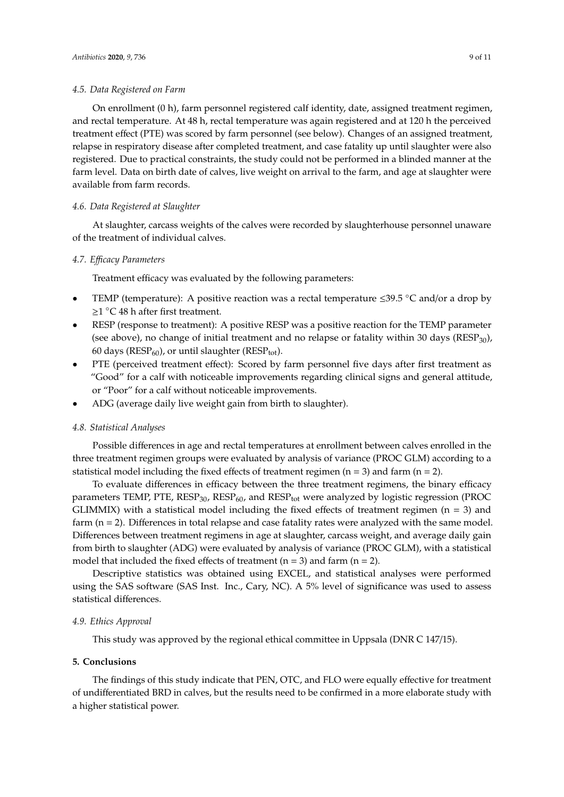#### *4.5. Data Registered on Farm*

On enrollment (0 h), farm personnel registered calf identity, date, assigned treatment regimen, and rectal temperature. At 48 h, rectal temperature was again registered and at 120 h the perceived treatment effect (PTE) was scored by farm personnel (see below). Changes of an assigned treatment, relapse in respiratory disease after completed treatment, and case fatality up until slaughter were also registered. Due to practical constraints, the study could not be performed in a blinded manner at the farm level. Data on birth date of calves, live weight on arrival to the farm, and age at slaughter were available from farm records.

#### *4.6. Data Registered at Slaughter*

At slaughter, carcass weights of the calves were recorded by slaughterhouse personnel unaware of the treatment of individual calves.

# *4.7. E*ffi*cacy Parameters*

Treatment efficacy was evaluated by the following parameters:

- TEMP (temperature): A positive reaction was a rectal temperature  $\leq 39.5$  °C and/or a drop by ≥1 ◦C 48 h after first treatment.
- RESP (response to treatment): A positive RESP was a positive reaction for the TEMP parameter (see above), no change of initial treatment and no relapse or fatality within 30 days ( $RESP<sub>30</sub>$ ), 60 days ( $RESP_{60}$ ), or until slaughter ( $RESP_{tot}$ ).
- PTE (perceived treatment effect): Scored by farm personnel five days after first treatment as "Good" for a calf with noticeable improvements regarding clinical signs and general attitude, or "Poor" for a calf without noticeable improvements.
- ADG (average daily live weight gain from birth to slaughter).

#### *4.8. Statistical Analyses*

Possible differences in age and rectal temperatures at enrollment between calves enrolled in the three treatment regimen groups were evaluated by analysis of variance (PROC GLM) according to a statistical model including the fixed effects of treatment regimen  $(n = 3)$  and farm  $(n = 2)$ .

To evaluate differences in efficacy between the three treatment regimens, the binary efficacy parameters TEMP, PTE,  $RESP_{30}$ ,  $RESP_{60}$ , and  $RESP_{tot}$  were analyzed by logistic regression (PROC GLIMMIX) with a statistical model including the fixed effects of treatment regimen ( $n = 3$ ) and farm (n = 2). Differences in total relapse and case fatality rates were analyzed with the same model. Differences between treatment regimens in age at slaughter, carcass weight, and average daily gain from birth to slaughter (ADG) were evaluated by analysis of variance (PROC GLM), with a statistical model that included the fixed effects of treatment ( $n = 3$ ) and farm ( $n = 2$ ).

Descriptive statistics was obtained using EXCEL, and statistical analyses were performed using the SAS software (SAS Inst. Inc., Cary, NC). A 5% level of significance was used to assess statistical differences.

#### *4.9. Ethics Approval*

This study was approved by the regional ethical committee in Uppsala (DNR C 147/15).

#### **5. Conclusions**

The findings of this study indicate that PEN, OTC, and FLO were equally effective for treatment of undifferentiated BRD in calves, but the results need to be confirmed in a more elaborate study with a higher statistical power.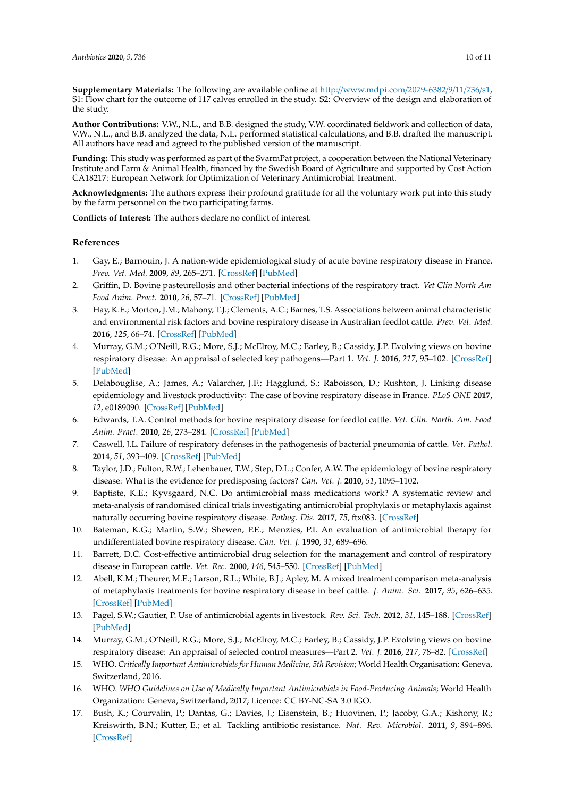**Supplementary Materials:** The following are available online at http://[www.mdpi.com](http://www.mdpi.com/2079-6382/9/11/736/s1)/2079-6382/9/11/736/s1, S1: Flow chart for the outcome of 117 calves enrolled in the study. S2: Overview of the design and elaboration of the study.

**Author Contributions:** V.W., N.L., and B.B. designed the study, V.W. coordinated fieldwork and collection of data, V.W., N.L., and B.B. analyzed the data, N.L. performed statistical calculations, and B.B. drafted the manuscript. All authors have read and agreed to the published version of the manuscript.

**Funding:** This study was performed as part of the SvarmPat project, a cooperation between the National Veterinary Institute and Farm & Animal Health, financed by the Swedish Board of Agriculture and supported by Cost Action CA18217: European Network for Optimization of Veterinary Antimicrobial Treatment.

**Acknowledgments:** The authors express their profound gratitude for all the voluntary work put into this study by the farm personnel on the two participating farms.

**Conflicts of Interest:** The authors declare no conflict of interest.

## **References**

- <span id="page-9-0"></span>1. Gay, E.; Barnouin, J. A nation-wide epidemiological study of acute bovine respiratory disease in France. *Prev. Vet. Med.* **2009**, *89*, 265–271. [\[CrossRef\]](http://dx.doi.org/10.1016/j.prevetmed.2009.02.013) [\[PubMed\]](http://www.ncbi.nlm.nih.gov/pubmed/19297044)
- <span id="page-9-15"></span>2. Griffin, D. Bovine pasteurellosis and other bacterial infections of the respiratory tract. *Vet Clin North Am Food Anim. Pract.* **2010**, *26*, 57–71. [\[CrossRef\]](http://dx.doi.org/10.1016/j.cvfa.2009.10.010) [\[PubMed\]](http://www.ncbi.nlm.nih.gov/pubmed/20117542)
- 3. Hay, K.E.; Morton, J.M.; Mahony, T.J.; Clements, A.C.; Barnes, T.S. Associations between animal characteristic and environmental risk factors and bovine respiratory disease in Australian feedlot cattle. *Prev. Vet. Med.* **2016**, *125*, 66–74. [\[CrossRef\]](http://dx.doi.org/10.1016/j.prevetmed.2016.01.013) [\[PubMed\]](http://www.ncbi.nlm.nih.gov/pubmed/26830058)
- <span id="page-9-1"></span>4. Murray, G.M.; O'Neill, R.G.; More, S.J.; McElroy, M.C.; Earley, B.; Cassidy, J.P. Evolving views on bovine respiratory disease: An appraisal of selected key pathogens—Part 1. *Vet. J.* **2016**, *217*, 95–102. [\[CrossRef\]](http://dx.doi.org/10.1016/j.tvjl.2016.09.012) [\[PubMed\]](http://www.ncbi.nlm.nih.gov/pubmed/27810220)
- <span id="page-9-2"></span>5. Delabouglise, A.; James, A.; Valarcher, J.F.; Hagglund, S.; Raboisson, D.; Rushton, J. Linking disease epidemiology and livestock productivity: The case of bovine respiratory disease in France. *PLoS ONE* **2017**, *12*, e0189090. [\[CrossRef\]](http://dx.doi.org/10.1371/journal.pone.0189090) [\[PubMed\]](http://www.ncbi.nlm.nih.gov/pubmed/29206855)
- <span id="page-9-3"></span>6. Edwards, T.A. Control methods for bovine respiratory disease for feedlot cattle. *Vet. Clin. North. Am. Food Anim. Pract.* **2010**, *26*, 273–284. [\[CrossRef\]](http://dx.doi.org/10.1016/j.cvfa.2010.03.005) [\[PubMed\]](http://www.ncbi.nlm.nih.gov/pubmed/20619184)
- <span id="page-9-4"></span>7. Caswell, J.L. Failure of respiratory defenses in the pathogenesis of bacterial pneumonia of cattle. *Vet. Pathol.* **2014**, *51*, 393–409. [\[CrossRef\]](http://dx.doi.org/10.1177/0300985813502821) [\[PubMed\]](http://www.ncbi.nlm.nih.gov/pubmed/24021557)
- <span id="page-9-5"></span>8. Taylor, J.D.; Fulton, R.W.; Lehenbauer, T.W.; Step, D.L.; Confer, A.W. The epidemiology of bovine respiratory disease: What is the evidence for predisposing factors? *Can. Vet. J.* **2010**, *51*, 1095–1102.
- <span id="page-9-6"></span>9. Baptiste, K.E.; Kyvsgaard, N.C. Do antimicrobial mass medications work? A systematic review and meta-analysis of randomised clinical trials investigating antimicrobial prophylaxis or metaphylaxis against naturally occurring bovine respiratory disease. *Pathog. Dis.* **2017**, *75*, ftx083. [\[CrossRef\]](http://dx.doi.org/10.1093/femspd/ftx083)
- <span id="page-9-7"></span>10. Bateman, K.G.; Martin, S.W.; Shewen, P.E.; Menzies, P.I. An evaluation of antimicrobial therapy for undifferentiated bovine respiratory disease. *Can. Vet. J.* **1990**, *31*, 689–696.
- <span id="page-9-8"></span>11. Barrett, D.C. Cost-effective antimicrobial drug selection for the management and control of respiratory disease in European cattle. *Vet. Rec.* **2000**, *146*, 545–550. [\[CrossRef\]](http://dx.doi.org/10.1136/vr.146.19.545) [\[PubMed\]](http://www.ncbi.nlm.nih.gov/pubmed/10839448)
- <span id="page-9-9"></span>12. Abell, K.M.; Theurer, M.E.; Larson, R.L.; White, B.J.; Apley, M. A mixed treatment comparison meta-analysis of metaphylaxis treatments for bovine respiratory disease in beef cattle. *J. Anim. Sci.* **2017**, *95*, 626–635. [\[CrossRef\]](http://dx.doi.org/10.2527/jas2016.1062) [\[PubMed\]](http://www.ncbi.nlm.nih.gov/pubmed/28380607)
- <span id="page-9-10"></span>13. Pagel, S.W.; Gautier, P. Use of antimicrobial agents in livestock. *Rev. Sci. Tech.* **2012**, *31*, 145–188. [\[CrossRef\]](http://dx.doi.org/10.20506/rst.31.1.2106) [\[PubMed\]](http://www.ncbi.nlm.nih.gov/pubmed/22849274)
- <span id="page-9-11"></span>14. Murray, G.M.; O'Neill, R.G.; More, S.J.; McElroy, M.C.; Earley, B.; Cassidy, J.P. Evolving views on bovine respiratory disease: An appraisal of selected control measures—Part 2. *Vet. J.* **2016**, *217*, 78–82. [\[CrossRef\]](http://dx.doi.org/10.1016/j.tvjl.2016.09.013)
- <span id="page-9-12"></span>15. WHO. *Critically Important Antimicrobials for Human Medicine, 5th Revision*; World Health Organisation: Geneva, Switzerland, 2016.
- <span id="page-9-13"></span>16. WHO. *WHO Guidelines on Use of Medically Important Antimicrobials in Food-Producing Animals*; World Health Organization: Geneva, Switzerland, 2017; Licence: CC BY-NC-SA 3.0 IGO.
- <span id="page-9-14"></span>17. Bush, K.; Courvalin, P.; Dantas, G.; Davies, J.; Eisenstein, B.; Huovinen, P.; Jacoby, G.A.; Kishony, R.; Kreiswirth, B.N.; Kutter, E.; et al. Tackling antibiotic resistance. *Nat. Rev. Microbiol.* **2011**, *9*, 894–896. [\[CrossRef\]](http://dx.doi.org/10.1038/nrmicro2693)